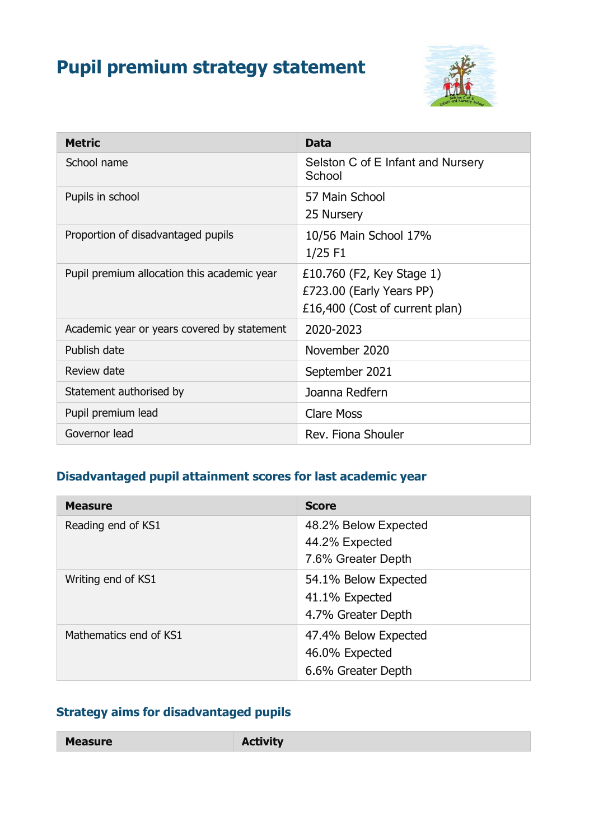# **Pupil premium strategy statement**



| <b>Metric</b>                               | <b>Data</b>                                                                             |
|---------------------------------------------|-----------------------------------------------------------------------------------------|
| School name                                 | Selston C of E Infant and Nursery<br>School                                             |
| Pupils in school                            | 57 Main School<br>25 Nursery                                                            |
| Proportion of disadvantaged pupils          | 10/56 Main School 17%<br>$1/25$ F1                                                      |
| Pupil premium allocation this academic year | £10.760 (F2, Key Stage 1)<br>£723.00 (Early Years PP)<br>£16,400 (Cost of current plan) |
| Academic year or years covered by statement | 2020-2023                                                                               |
| Publish date                                | November 2020                                                                           |
| Review date                                 | September 2021                                                                          |
| Statement authorised by                     | Joanna Redfern                                                                          |
| Pupil premium lead                          | <b>Clare Moss</b>                                                                       |
| Governor lead                               | Rev. Fiona Shouler                                                                      |

#### **Disadvantaged pupil attainment scores for last academic year**

| <b>Measure</b>         | <b>Score</b>                                                 |
|------------------------|--------------------------------------------------------------|
| Reading end of KS1     | 48.2% Below Expected<br>44.2% Expected<br>7.6% Greater Depth |
| Writing end of KS1     | 54.1% Below Expected<br>41.1% Expected<br>4.7% Greater Depth |
| Mathematics end of KS1 | 47.4% Below Expected<br>46.0% Expected<br>6.6% Greater Depth |

## **Strategy aims for disadvantaged pupils**

**Measure Activity**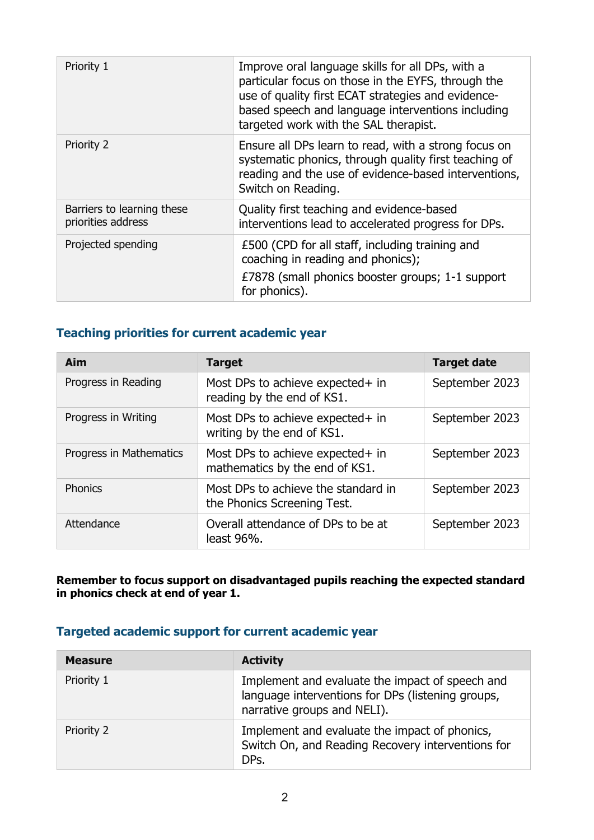| Priority 1                                       | Improve oral language skills for all DPs, with a<br>particular focus on those in the EYFS, through the<br>use of quality first ECAT strategies and evidence-<br>based speech and language interventions including<br>targeted work with the SAL therapist. |
|--------------------------------------------------|------------------------------------------------------------------------------------------------------------------------------------------------------------------------------------------------------------------------------------------------------------|
| Priority 2                                       | Ensure all DPs learn to read, with a strong focus on<br>systematic phonics, through quality first teaching of<br>reading and the use of evidence-based interventions,<br>Switch on Reading.                                                                |
| Barriers to learning these<br>priorities address | Quality first teaching and evidence-based<br>interventions lead to accelerated progress for DPs.                                                                                                                                                           |
| Projected spending                               | £500 (CPD for all staff, including training and<br>coaching in reading and phonics);<br>£7878 (small phonics booster groups; 1-1 support<br>for phonics).                                                                                                  |

#### **Teaching priorities for current academic year**

| Aim                     | <b>Target</b>                                                      | <b>Target date</b> |
|-------------------------|--------------------------------------------------------------------|--------------------|
| Progress in Reading     | Most DPs to achieve expected+ in<br>reading by the end of KS1.     | September 2023     |
| Progress in Writing     | Most DPs to achieve expected+ in<br>writing by the end of KS1.     | September 2023     |
| Progress in Mathematics | Most DPs to achieve expected+ in<br>mathematics by the end of KS1. | September 2023     |
| <b>Phonics</b>          | Most DPs to achieve the standard in<br>the Phonics Screening Test. | September 2023     |
| Attendance              | Overall attendance of DPs to be at<br>least 96%.                   | September 2023     |

**Remember to focus support on disadvantaged pupils reaching the expected standard in phonics check at end of year 1.**

#### **Targeted academic support for current academic year**

| <b>Measure</b> | <b>Activity</b>                                                                                                                     |
|----------------|-------------------------------------------------------------------------------------------------------------------------------------|
| Priority 1     | Implement and evaluate the impact of speech and<br>language interventions for DPs (listening groups,<br>narrative groups and NELI). |
| Priority 2     | Implement and evaluate the impact of phonics,<br>Switch On, and Reading Recovery interventions for<br>DPs.                          |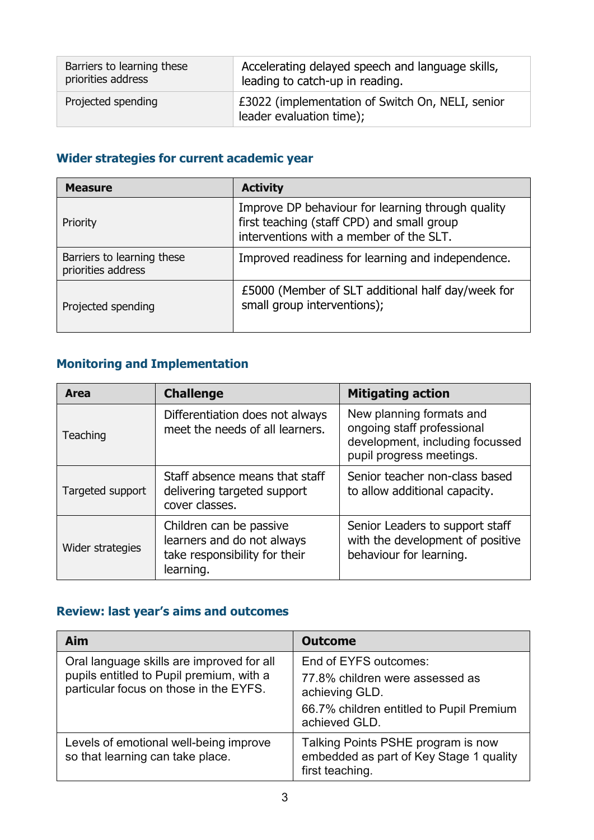| Barriers to learning these | Accelerating delayed speech and language skills,                             |
|----------------------------|------------------------------------------------------------------------------|
| priorities address         | leading to catch-up in reading.                                              |
| Projected spending         | £3022 (implementation of Switch On, NELI, senior<br>leader evaluation time); |

## **Wider strategies for current academic year**

| <b>Measure</b>                                   | <b>Activity</b>                                                                                                                            |
|--------------------------------------------------|--------------------------------------------------------------------------------------------------------------------------------------------|
| Priority                                         | Improve DP behaviour for learning through quality<br>first teaching (staff CPD) and small group<br>interventions with a member of the SLT. |
| Barriers to learning these<br>priorities address | Improved readiness for learning and independence.                                                                                          |
| Projected spending                               | £5000 (Member of SLT additional half day/week for<br>small group interventions);                                                           |

### **Monitoring and Implementation**

| <b>Area</b>      | <b>Challenge</b>                                                                                    | <b>Mitigating action</b>                                                                                              |
|------------------|-----------------------------------------------------------------------------------------------------|-----------------------------------------------------------------------------------------------------------------------|
| Teaching         | Differentiation does not always<br>meet the needs of all learners.                                  | New planning formats and<br>ongoing staff professional<br>development, including focussed<br>pupil progress meetings. |
| Targeted support | Staff absence means that staff<br>delivering targeted support<br>cover classes.                     | Senior teacher non-class based<br>to allow additional capacity.                                                       |
| Wider strategies | Children can be passive<br>learners and do not always<br>take responsibility for their<br>learning. | Senior Leaders to support staff<br>with the development of positive<br>behaviour for learning.                        |

## **Review: last year's aims and outcomes**

| <b>Aim</b>                                                                                                                      | <b>Outcome</b>                                                                                                                          |
|---------------------------------------------------------------------------------------------------------------------------------|-----------------------------------------------------------------------------------------------------------------------------------------|
| Oral language skills are improved for all<br>pupils entitled to Pupil premium, with a<br>particular focus on those in the EYFS. | End of EYFS outcomes:<br>77.8% children were assessed as<br>achieving GLD.<br>66.7% children entitled to Pupil Premium<br>achieved GLD. |
| Levels of emotional well-being improve<br>so that learning can take place.                                                      | Talking Points PSHE program is now<br>embedded as part of Key Stage 1 quality<br>first teaching.                                        |